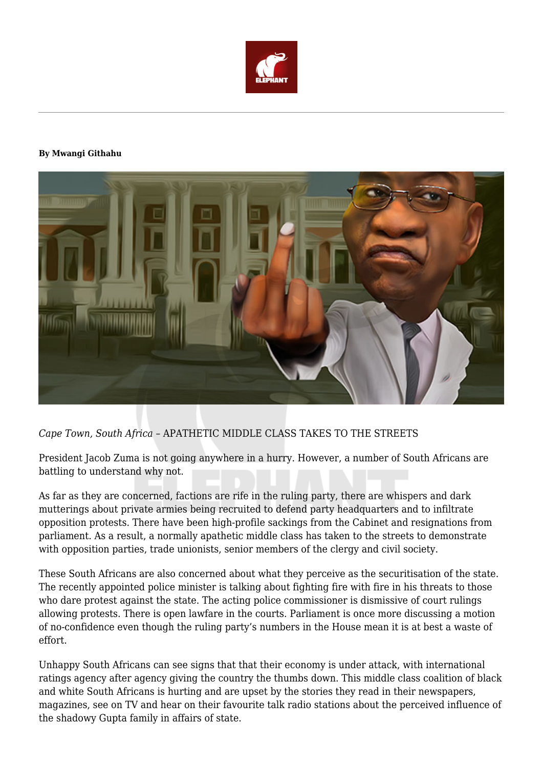

#### **By Mwangi Githahu**



# *Cape Town, South Africa –* APATHETIC MIDDLE CLASS TAKES TO THE STREETS

President Jacob Zuma is not going anywhere in a hurry. However, a number of South Africans are battling to understand why not.

As far as they are concerned, factions are rife in the ruling party, there are whispers and dark mutterings about private armies being recruited to defend party headquarters and to infiltrate opposition protests. There have been high-profile sackings from the Cabinet and resignations from parliament. As a result, a normally apathetic middle class has taken to the streets to demonstrate with opposition parties, trade unionists, senior members of the clergy and civil society.

These South Africans are also concerned about what they perceive as the securitisation of the state. The recently appointed police minister is talking about fighting fire with fire in his threats to those who dare protest against the state. The acting police commissioner is dismissive of court rulings allowing protests. There is open lawfare in the courts. Parliament is once more discussing a motion of no-confidence even though the ruling party's numbers in the House mean it is at best a waste of effort.

Unhappy South Africans can see signs that that their economy is under attack, with international ratings agency after agency giving the country the thumbs down. This middle class coalition of black and white South Africans is hurting and are upset by the stories they read in their newspapers, magazines, see on TV and hear on their favourite talk radio stations about the perceived influence of the shadowy Gupta family in affairs of state.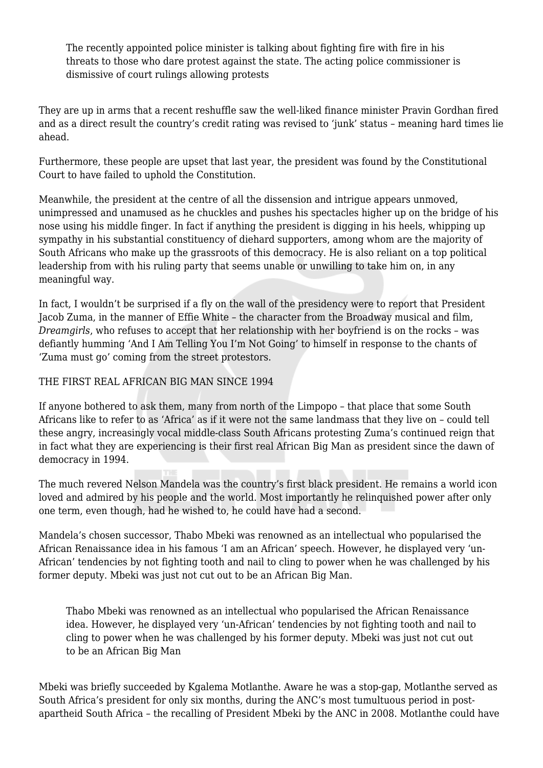The recently appointed police minister is talking about fighting fire with fire in his threats to those who dare protest against the state. The acting police commissioner is dismissive of court rulings allowing protests

They are up in arms that a recent reshuffle saw the well-liked finance minister Pravin Gordhan fired and as a direct result the country's credit rating was revised to 'junk' status – meaning hard times lie ahead.

Furthermore, these people are upset that last year, the president was found by the Constitutional Court to have failed to uphold the Constitution.

Meanwhile, the president at the centre of all the dissension and intrigue appears unmoved, unimpressed and unamused as he chuckles and pushes his spectacles higher up on the bridge of his nose using his middle finger. In fact if anything the president is digging in his heels, whipping up sympathy in his substantial constituency of diehard supporters, among whom are the majority of South Africans who make up the grassroots of this democracy. He is also reliant on a top political leadership from with his ruling party that seems unable or unwilling to take him on, in any meaningful way.

In fact, I wouldn't be surprised if a fly on the wall of the presidency were to report that President Jacob Zuma, in the manner of Effie White – the character from the Broadway musical and film, *Dreamgirls*, who refuses to accept that her relationship with her boyfriend is on the rocks – was defiantly humming 'And I Am Telling You I'm Not Going' to himself in response to the chants of 'Zuma must go' coming from the street protestors.

## THE FIRST REAL AFRICAN BIG MAN SINCE 1994

If anyone bothered to ask them, many from north of the Limpopo – that place that some South Africans like to refer to as 'Africa' as if it were not the same landmass that they live on – could tell these angry, increasingly vocal middle-class South Africans protesting Zuma's continued reign that in fact what they are experiencing is their first real African Big Man as president since the dawn of democracy in 1994.

The much revered Nelson Mandela was the country's first black president. He remains a world icon loved and admired by his people and the world. Most importantly he relinquished power after only one term, even though, had he wished to, he could have had a second.

Mandela's chosen successor, Thabo Mbeki was renowned as an intellectual who popularised the African Renaissance idea in his famous 'I am an African' speech. However, he displayed very 'un-African' tendencies by not fighting tooth and nail to cling to power when he was challenged by his former deputy. Mbeki was just not cut out to be an African Big Man.

Thabo Mbeki was renowned as an intellectual who popularised the African Renaissance idea. However, he displayed very 'un-African' tendencies by not fighting tooth and nail to cling to power when he was challenged by his former deputy. Mbeki was just not cut out to be an African Big Man

Mbeki was briefly succeeded by Kgalema Motlanthe. Aware he was a stop-gap, Motlanthe served as South Africa's president for only six months, during the ANC's most tumultuous period in postapartheid South Africa – the recalling of President Mbeki by the ANC in 2008. Motlanthe could have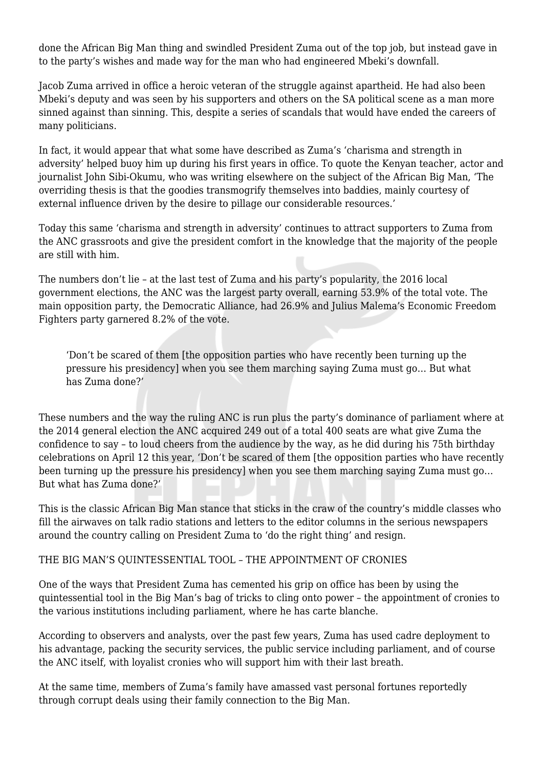done the African Big Man thing and swindled President Zuma out of the top job, but instead gave in to the party's wishes and made way for the man who had engineered Mbeki's downfall.

Jacob Zuma arrived in office a heroic veteran of the struggle against apartheid. He had also been Mbeki's deputy and was seen by his supporters and others on the SA political scene as a man more sinned against than sinning. This, despite a series of scandals that would have ended the careers of many politicians.

In fact, it would appear that what some have described as Zuma's 'charisma and strength in adversity' helped buoy him up during his first years in office. To quote the Kenyan teacher, actor and journalist John Sibi-Okumu, who was writing elsewhere on the subject of the African Big Man, 'The overriding thesis is that the goodies transmogrify themselves into baddies, mainly courtesy of external influence driven by the desire to pillage our considerable resources.'

Today this same 'charisma and strength in adversity' continues to attract supporters to Zuma from the ANC grassroots and give the president comfort in the knowledge that the majority of the people are still with him.

The numbers don't lie – at the last test of Zuma and his party's popularity, the 2016 local government elections, the ANC was the largest party overall, earning 53.9% of the total vote. The main opposition party, the Democratic Alliance, had 26.9% and Julius Malema's Economic Freedom Fighters party garnered 8.2% of the vote.

'Don't be scared of them [the opposition parties who have recently been turning up the pressure his presidency] when you see them marching saying Zuma must go… But what has Zuma done?'

These numbers and the way the ruling ANC is run plus the party's dominance of parliament where at the 2014 general election the ANC acquired 249 out of a total 400 seats are what give Zuma the confidence to say – to loud cheers from the audience by the way, as he did during his 75th birthday celebrations on April 12 this year, 'Don't be scared of them [the opposition parties who have recently been turning up the pressure his presidency] when you see them marching saying Zuma must go… But what has Zuma done?'

This is the classic African Big Man stance that sticks in the craw of the country's middle classes who fill the airwaves on talk radio stations and letters to the editor columns in the serious newspapers around the country calling on President Zuma to 'do the right thing' and resign.

## THE BIG MAN'S QUINTESSENTIAL TOOL – THE APPOINTMENT OF CRONIES

One of the ways that President Zuma has cemented his grip on office has been by using the quintessential tool in the Big Man's bag of tricks to cling onto power – the appointment of cronies to the various institutions including parliament, where he has carte blanche.

According to observers and analysts, over the past few years, Zuma has used cadre deployment to his advantage, packing the security services, the public service including parliament, and of course the ANC itself, with loyalist cronies who will support him with their last breath.

At the same time, members of Zuma's family have amassed vast personal fortunes reportedly through corrupt deals using their family connection to the Big Man.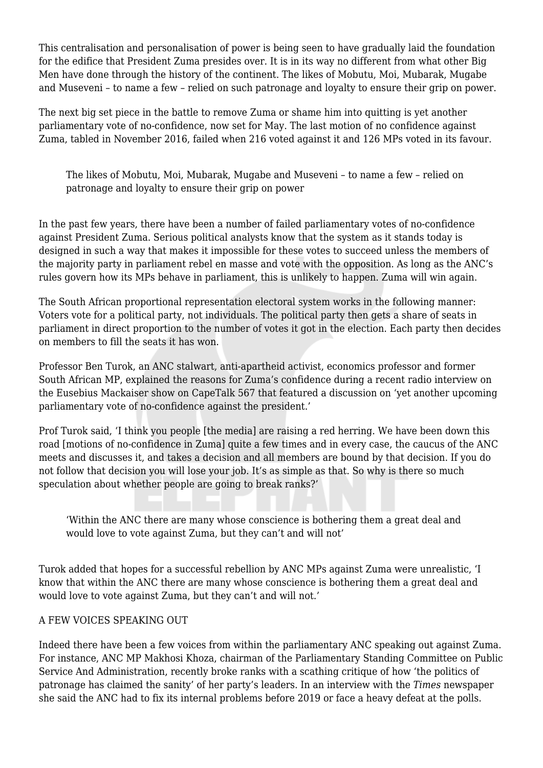This centralisation and personalisation of power is being seen to have gradually laid the foundation for the edifice that President Zuma presides over. It is in its way no different from what other Big Men have done through the history of the continent. The likes of Mobutu, Moi, Mubarak, Mugabe and Museveni – to name a few – relied on such patronage and loyalty to ensure their grip on power.

The next big set piece in the battle to remove Zuma or shame him into quitting is yet another parliamentary vote of no-confidence, now set for May. The last motion of no confidence against Zuma, tabled in November 2016, failed when 216 voted against it and 126 MPs voted in its favour.

The likes of Mobutu, Moi, Mubarak, Mugabe and Museveni – to name a few – relied on patronage and loyalty to ensure their grip on power

In the past few years, there have been a number of failed parliamentary votes of no-confidence against President Zuma. Serious political analysts know that the system as it stands today is designed in such a way that makes it impossible for these votes to succeed unless the members of the majority party in parliament rebel en masse and vote with the opposition. As long as the ANC's rules govern how its MPs behave in parliament, this is unlikely to happen. Zuma will win again.

The South African proportional representation electoral system works in the following manner: Voters vote for a political party, not individuals. The political party then gets a share of seats in parliament in direct proportion to the number of votes it got in the election. Each party then decides on members to fill the seats it has won.

Professor Ben Turok, an ANC stalwart, anti-apartheid activist, economics professor and former South African MP, explained the reasons for Zuma's confidence during a recent radio interview on the Eusebius Mackaiser show on CapeTalk 567 that featured a discussion on 'yet another upcoming parliamentary vote of no-confidence against the president.'

Prof Turok said, 'I think you people [the media] are raising a red herring. We have been down this road [motions of no-confidence in Zuma] quite a few times and in every case, the caucus of the ANC meets and discusses it, and takes a decision and all members are bound by that decision. If you do not follow that decision you will lose your job. It's as simple as that. So why is there so much speculation about whether people are going to break ranks?'

'Within the ANC there are many whose conscience is bothering them a great deal and would love to vote against Zuma, but they can't and will not'

Turok added that hopes for a successful rebellion by ANC MPs against Zuma were unrealistic, 'I know that within the ANC there are many whose conscience is bothering them a great deal and would love to vote against Zuma, but they can't and will not.'

## A FEW VOICES SPEAKING OUT

Indeed there have been a few voices from within the parliamentary ANC speaking out against Zuma. For instance, ANC MP Makhosi Khoza, chairman of the Parliamentary Standing Committee on Public Service And Administration, recently broke ranks with a scathing critique of how 'the politics of patronage has claimed the sanity' of her party's leaders. In an interview with the *Times* newspaper she said the ANC had to fix its internal problems before 2019 or face a heavy defeat at the polls.